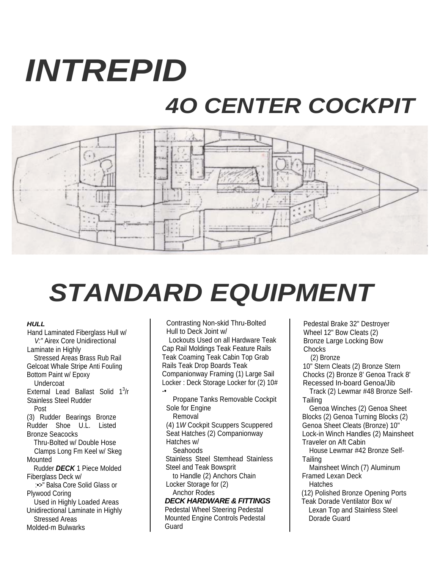## *INTREPID 4O CENTER COCKPIT*



## *STANDARD EQUIPMENT*

## *HULL*

Hand Laminated Fiberglass Hull w/ *V:"* Airex Core Unidirectional Laminate in Highly Stressed Areas Brass Rub Rail Gelcoat Whale Stripe Anti Fouling Bottom Paint w/ Epoxy Undercoat External Lead Ballast Solid  $1^3/r$ Stainless Steel Rudder Post (3) Rudder Bearings Bronze Rudder Shoe U.L. Listed Bronze Seacocks Thru-Bolted w/ Double Hose Clamps Long Fm Keel w/ Skeg Mounted Rudder *DECK* 1 Piece Molded Fiberglass Deck w/ :•>" Balsa Core Solid Glass or Plywood Coring Used in Highly Loaded Areas Unidirectional Laminate in Highly Stressed Areas Molded-m Bulwarks

Contrasting Non-skid Thru-Bolted Hull to Deck Joint w/

Lockouts Used on all Hardware Teak Cap Rail Moldings Teak Feature Rails Teak Coaming Teak Cabin Top Grab Rails Teak Drop Boards Teak Companionway Framing (1) Large Sail Locker : Deck Storage Locker for (2) 10# -•

Propane Tanks Removable Cockpit Sole for Engine Removal (4) 1*W* Cockpit Scuppers Scuppered Seat Hatches (2) Companionway Hatches w/ Seahoods Stainless Steel Stemhead Stainless Steel and Teak Bowsprit to Handle (2) Anchors Chain Locker Storage for (2) Anchor Rodes *DECK HARDWARE & FITTINGS*  Pedestal Wheel Steering Pedestal Mounted Engine Controls Pedestal

Guard

Pedestal Brake 32" Destroyer Wheel 12" Bow Cleats (2) Bronze Large Locking Bow Chocks

(2) Bronze 10" Stern Cleats (2) Bronze Stern Chocks (2) Bronze 8' Genoa Track 8' Recessed In-board Genoa/Jib Track (2) Lewmar #48 Bronze Self-

**Tailing** Genoa Winches (2) Genoa Sheet

Blocks (2) Genoa Turning Blocks (2) Genoa Sheet Cleats (Bronze) 10" Lock-in Winch Handles (2) Mainsheet Traveler on Aft Cabin

House Lewmar #42 Bronze Self-**Tailing** 

Mainsheet Winch (7) Aluminum Framed Lexan Deck **Hatches** 

(12) Polished Bronze Opening Ports Teak Dorade Ventilator Box w/

Lexan Top and Stainless Steel Dorade Guard